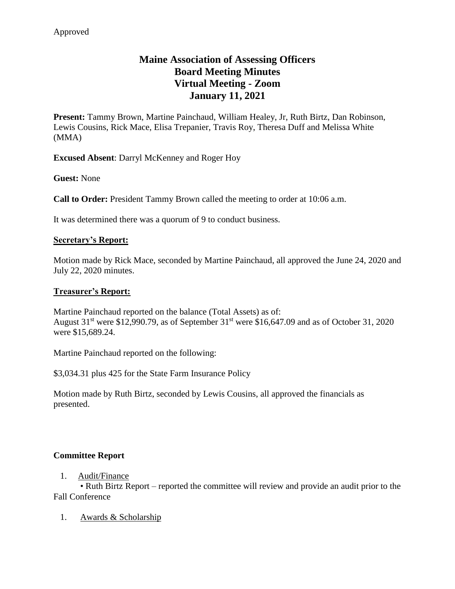# **Maine Association of Assessing Officers Board Meeting Minutes Virtual Meeting - Zoom January 11, 2021**

**Present:** Tammy Brown, Martine Painchaud, William Healey, Jr, Ruth Birtz, Dan Robinson, Lewis Cousins, Rick Mace, Elisa Trepanier, Travis Roy, Theresa Duff and Melissa White (MMA)

**Excused Absent**: Darryl McKenney and Roger Hoy

**Guest:** None

**Call to Order:** President Tammy Brown called the meeting to order at 10:06 a.m.

It was determined there was a quorum of 9 to conduct business.

#### **Secretary's Report:**

Motion made by Rick Mace, seconded by Martine Painchaud, all approved the June 24, 2020 and July 22, 2020 minutes.

#### **Treasurer's Report:**

Martine Painchaud reported on the balance (Total Assets) as of: August  $31<sup>st</sup>$  were \$12,990.79, as of September  $31<sup>st</sup>$  were \$16,647.09 and as of October 31, 2020 were \$15,689.24.

Martine Painchaud reported on the following:

\$3,034.31 plus 425 for the State Farm Insurance Policy

Motion made by Ruth Birtz, seconded by Lewis Cousins, all approved the financials as presented.

#### **Committee Report**

#### 1. Audit/Finance

• Ruth Birtz Report – reported the committee will review and provide an audit prior to the Fall Conference

1. Awards & Scholarship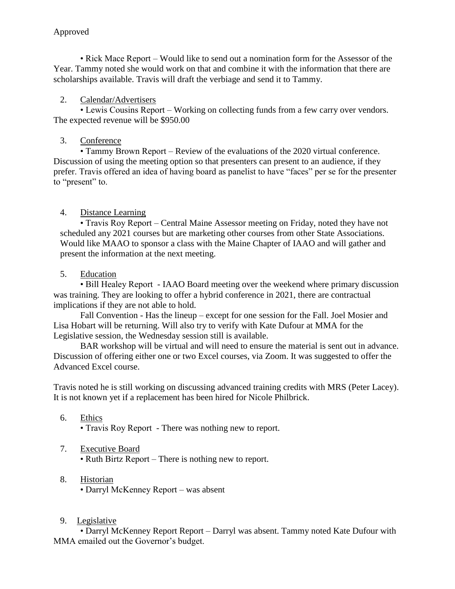• Rick Mace Report – Would like to send out a nomination form for the Assessor of the Year. Tammy noted she would work on that and combine it with the information that there are scholarships available. Travis will draft the verbiage and send it to Tammy.

## 2. Calendar/Advertisers

• Lewis Cousins Report – Working on collecting funds from a few carry over vendors. The expected revenue will be \$950.00

## 3. Conference

• Tammy Brown Report – Review of the evaluations of the 2020 virtual conference. Discussion of using the meeting option so that presenters can present to an audience, if they prefer. Travis offered an idea of having board as panelist to have "faces" per se for the presenter to "present" to.

## 4. Distance Learning

• Travis Roy Report – Central Maine Assessor meeting on Friday, noted they have not scheduled any 2021 courses but are marketing other courses from other State Associations. Would like MAAO to sponsor a class with the Maine Chapter of IAAO and will gather and present the information at the next meeting.

## 5. Education

• Bill Healey Report - IAAO Board meeting over the weekend where primary discussion was training. They are looking to offer a hybrid conference in 2021, there are contractual implications if they are not able to hold.

Fall Convention - Has the lineup – except for one session for the Fall. Joel Mosier and Lisa Hobart will be returning. Will also try to verify with Kate Dufour at MMA for the Legislative session, the Wednesday session still is available.

BAR workshop will be virtual and will need to ensure the material is sent out in advance. Discussion of offering either one or two Excel courses, via Zoom. It was suggested to offer the Advanced Excel course.

Travis noted he is still working on discussing advanced training credits with MRS (Peter Lacey). It is not known yet if a replacement has been hired for Nicole Philbrick.

6. Ethics

• Travis Roy Report - There was nothing new to report.

## 7. Executive Board

• Ruth Birtz Report – There is nothing new to report.

- 8. Historian • Darryl McKenney Report – was absent
- 9. Legislative

• Darryl McKenney Report Report – Darryl was absent. Tammy noted Kate Dufour with MMA emailed out the Governor's budget.